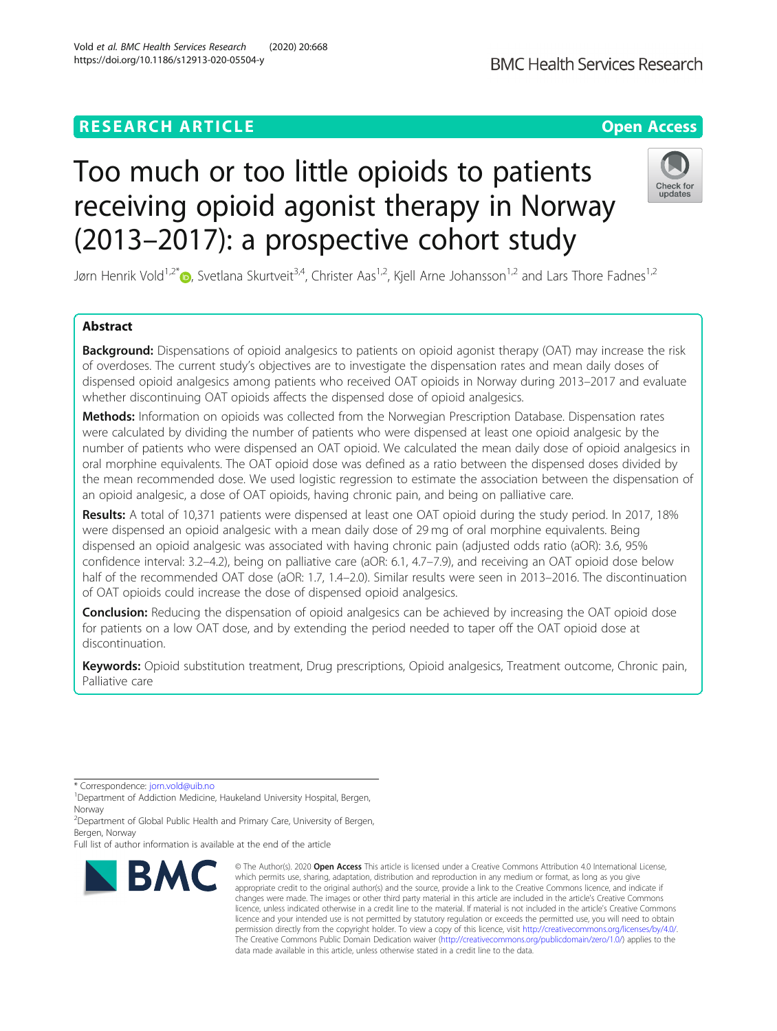# **RESEARCH ARTICLE Example 2014 12:30 The Contract of Contract ACCESS**

# Too much or too little opioids to patients receiving opioid agonist therapy in Norway (2013–2017): a prospective cohort study

Jørn Henrik Vold<sup>1[,](http://orcid.org/0000-0001-8701-7638)2\*</sup> (b. Svetlana Skurtveit<sup>3,4</sup>, Christer Aas<sup>1,2</sup>, Kjell Arne Johansson<sup>1,2</sup> and Lars Thore Fadnes<sup>1,2</sup>

# Abstract

**Background:** Dispensations of opioid analgesics to patients on opioid agonist therapy (OAT) may increase the risk of overdoses. The current study's objectives are to investigate the dispensation rates and mean daily doses of dispensed opioid analgesics among patients who received OAT opioids in Norway during 2013–2017 and evaluate whether discontinuing OAT opioids affects the dispensed dose of opioid analgesics.

Methods: Information on opioids was collected from the Norwegian Prescription Database. Dispensation rates were calculated by dividing the number of patients who were dispensed at least one opioid analgesic by the number of patients who were dispensed an OAT opioid. We calculated the mean daily dose of opioid analgesics in oral morphine equivalents. The OAT opioid dose was defined as a ratio between the dispensed doses divided by the mean recommended dose. We used logistic regression to estimate the association between the dispensation of an opioid analgesic, a dose of OAT opioids, having chronic pain, and being on palliative care.

Results: A total of 10,371 patients were dispensed at least one OAT opioid during the study period. In 2017, 18% were dispensed an opioid analgesic with a mean daily dose of 29 mg of oral morphine equivalents. Being dispensed an opioid analgesic was associated with having chronic pain (adjusted odds ratio (aOR): 3.6, 95% confidence interval: 3.2–4.2), being on palliative care (aOR: 6.1, 4.7–7.9), and receiving an OAT opioid dose below half of the recommended OAT dose (aOR: 1.7, 1.4–2.0). Similar results were seen in 2013–2016. The discontinuation of OAT opioids could increase the dose of dispensed opioid analgesics.

**Conclusion:** Reducing the dispensation of opioid analgesics can be achieved by increasing the OAT opioid dose for patients on a low OAT dose, and by extending the period needed to taper off the OAT opioid dose at discontinuation.

Keywords: Opioid substitution treatment, Drug prescriptions, Opioid analgesics, Treatment outcome, Chronic pain, Palliative care

\* Correspondence: [jorn.vold@uib.no](mailto:jorn.vold@uib.no) <sup>1</sup>

<sup>1</sup> Department of Addiction Medicine, Haukeland University Hospital, Bergen, Norway

<sup>2</sup> Department of Global Public Health and Primary Care, University of Bergen, Bergen, Norway

Full list of author information is available at the end of the article

**BMC** 

Vold et al. BMC Health Services Research (2020) 20:668 https://doi.org/10.1186/s12913-020-05504-y





<sup>©</sup> The Author(s), 2020 **Open Access** This article is licensed under a Creative Commons Attribution 4.0 International License, which permits use, sharing, adaptation, distribution and reproduction in any medium or format, as long as you give appropriate credit to the original author(s) and the source, provide a link to the Creative Commons licence, and indicate if changes were made. The images or other third party material in this article are included in the article's Creative Commons licence, unless indicated otherwise in a credit line to the material. If material is not included in the article's Creative Commons licence and your intended use is not permitted by statutory regulation or exceeds the permitted use, you will need to obtain permission directly from the copyright holder. To view a copy of this licence, visit [http://creativecommons.org/licenses/by/4.0/.](http://creativecommons.org/licenses/by/4.0/) The Creative Commons Public Domain Dedication waiver [\(http://creativecommons.org/publicdomain/zero/1.0/](http://creativecommons.org/publicdomain/zero/1.0/)) applies to the data made available in this article, unless otherwise stated in a credit line to the data.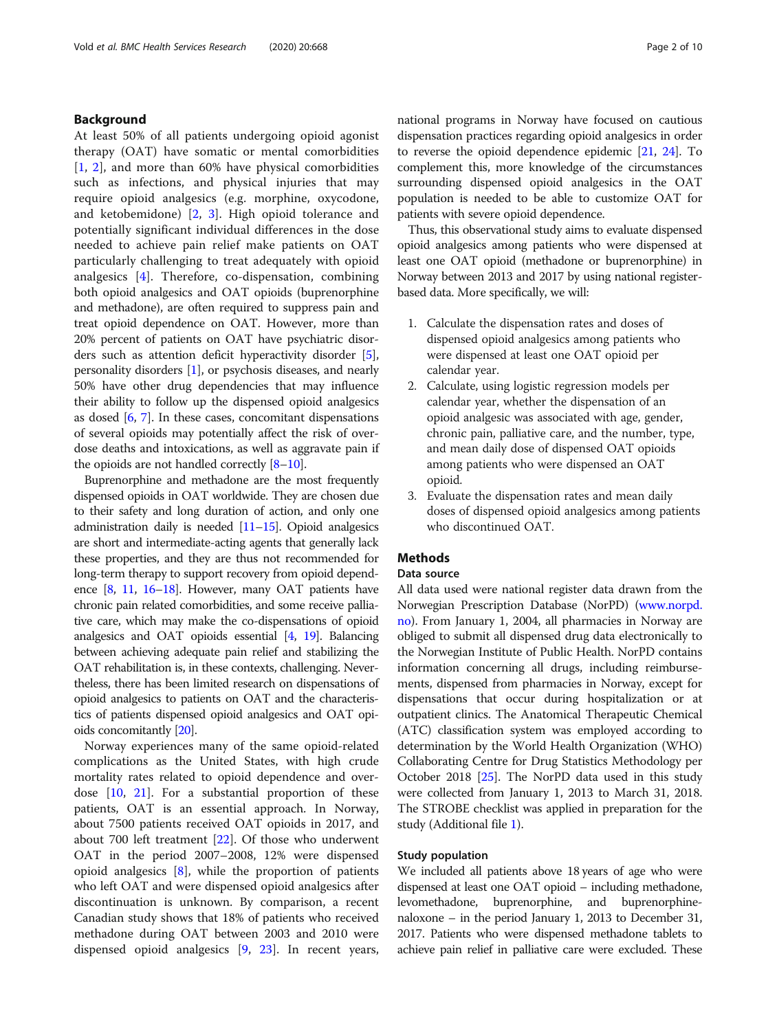# Background

At least 50% of all patients undergoing opioid agonist therapy (OAT) have somatic or mental comorbidities [[1,](#page-8-0) [2](#page-8-0)], and more than 60% have physical comorbidities such as infections, and physical injuries that may require opioid analgesics (e.g. morphine, oxycodone, and ketobemidone) [[2,](#page-8-0) [3\]](#page-9-0). High opioid tolerance and potentially significant individual differences in the dose needed to achieve pain relief make patients on OAT particularly challenging to treat adequately with opioid analgesics [\[4](#page-9-0)]. Therefore, co-dispensation, combining both opioid analgesics and OAT opioids (buprenorphine and methadone), are often required to suppress pain and treat opioid dependence on OAT. However, more than 20% percent of patients on OAT have psychiatric disorders such as attention deficit hyperactivity disorder [[5](#page-9-0)], personality disorders [\[1](#page-8-0)], or psychosis diseases, and nearly 50% have other drug dependencies that may influence their ability to follow up the dispensed opioid analgesics as dosed [[6,](#page-9-0) [7\]](#page-9-0). In these cases, concomitant dispensations of several opioids may potentially affect the risk of overdose deaths and intoxications, as well as aggravate pain if the opioids are not handled correctly  $[8-10]$  $[8-10]$  $[8-10]$  $[8-10]$  $[8-10]$ .

Buprenorphine and methadone are the most frequently dispensed opioids in OAT worldwide. They are chosen due to their safety and long duration of action, and only one administration daily is needed [\[11](#page-9-0)–[15\]](#page-9-0). Opioid analgesics are short and intermediate-acting agents that generally lack these properties, and they are thus not recommended for long-term therapy to support recovery from opioid dependence [\[8,](#page-9-0) [11](#page-9-0), [16](#page-9-0)–[18](#page-9-0)]. However, many OAT patients have chronic pain related comorbidities, and some receive palliative care, which may make the co-dispensations of opioid analgesics and OAT opioids essential [[4](#page-9-0), [19](#page-9-0)]. Balancing between achieving adequate pain relief and stabilizing the OAT rehabilitation is, in these contexts, challenging. Nevertheless, there has been limited research on dispensations of opioid analgesics to patients on OAT and the characteristics of patients dispensed opioid analgesics and OAT opioids concomitantly [[20](#page-9-0)].

Norway experiences many of the same opioid-related complications as the United States, with high crude mortality rates related to opioid dependence and overdose [[10](#page-9-0), [21\]](#page-9-0). For a substantial proportion of these patients, OAT is an essential approach. In Norway, about 7500 patients received OAT opioids in 2017, and about 700 left treatment [\[22](#page-9-0)]. Of those who underwent OAT in the period 2007–2008, 12% were dispensed opioid analgesics  $[8]$  $[8]$ , while the proportion of patients who left OAT and were dispensed opioid analgesics after discontinuation is unknown. By comparison, a recent Canadian study shows that 18% of patients who received methadone during OAT between 2003 and 2010 were dispensed opioid analgesics [\[9](#page-9-0), [23\]](#page-9-0). In recent years, national programs in Norway have focused on cautious dispensation practices regarding opioid analgesics in order to reverse the opioid dependence epidemic [[21](#page-9-0), [24](#page-9-0)]. To complement this, more knowledge of the circumstances surrounding dispensed opioid analgesics in the OAT population is needed to be able to customize OAT for patients with severe opioid dependence.

Thus, this observational study aims to evaluate dispensed opioid analgesics among patients who were dispensed at least one OAT opioid (methadone or buprenorphine) in Norway between 2013 and 2017 by using national registerbased data. More specifically, we will:

- 1. Calculate the dispensation rates and doses of dispensed opioid analgesics among patients who were dispensed at least one OAT opioid per calendar year.
- 2. Calculate, using logistic regression models per calendar year, whether the dispensation of an opioid analgesic was associated with age, gender, chronic pain, palliative care, and the number, type, and mean daily dose of dispensed OAT opioids among patients who were dispensed an OAT opioid.
- 3. Evaluate the dispensation rates and mean daily doses of dispensed opioid analgesics among patients who discontinued OAT.

# **Methods**

## Data source

All data used were national register data drawn from the Norwegian Prescription Database (NorPD) ([www.norpd.](http://www.norpd.no) [no](http://www.norpd.no)). From January 1, 2004, all pharmacies in Norway are obliged to submit all dispensed drug data electronically to the Norwegian Institute of Public Health. NorPD contains information concerning all drugs, including reimbursements, dispensed from pharmacies in Norway, except for dispensations that occur during hospitalization or at outpatient clinics. The Anatomical Therapeutic Chemical (ATC) classification system was employed according to determination by the World Health Organization (WHO) Collaborating Centre for Drug Statistics Methodology per October 2018 [\[25\]](#page-9-0). The NorPD data used in this study were collected from January 1, 2013 to March 31, 2018. The STROBE checklist was applied in preparation for the study (Additional file [1](#page-8-0)).

# Study population

We included all patients above 18 years of age who were dispensed at least one OAT opioid – including methadone, levomethadone, buprenorphine, and buprenorphinenaloxone – in the period January 1, 2013 to December 31, 2017. Patients who were dispensed methadone tablets to achieve pain relief in palliative care were excluded. These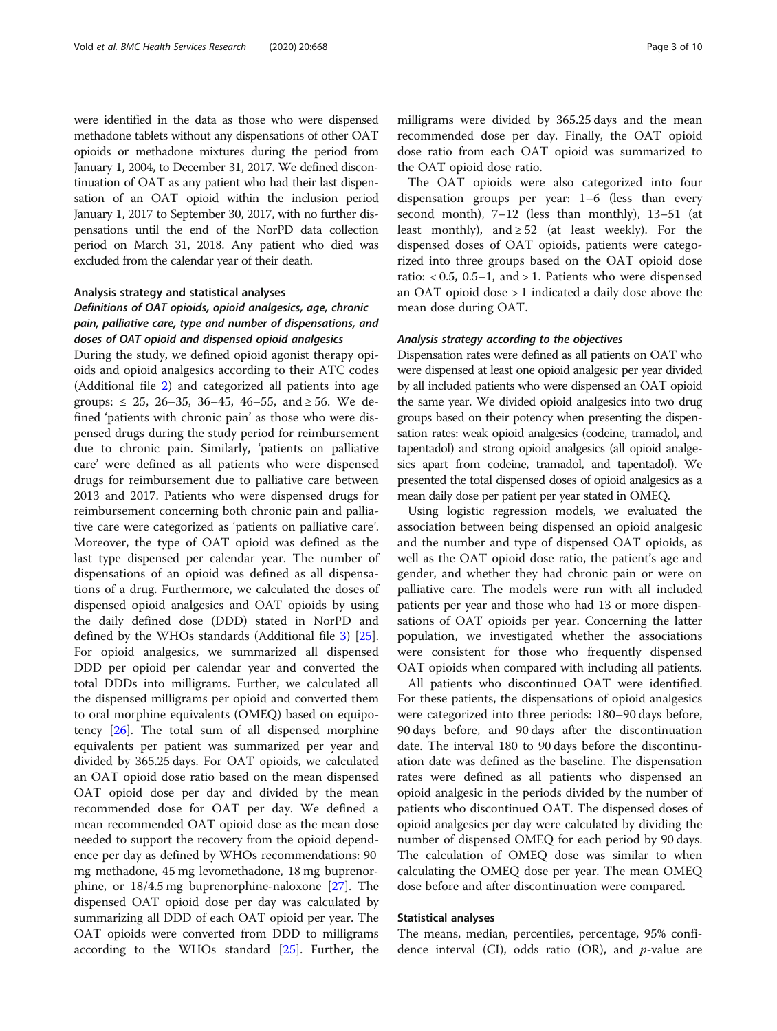were identified in the data as those who were dispensed methadone tablets without any dispensations of other OAT opioids or methadone mixtures during the period from January 1, 2004, to December 31, 2017. We defined discontinuation of OAT as any patient who had their last dispensation of an OAT opioid within the inclusion period January 1, 2017 to September 30, 2017, with no further dispensations until the end of the NorPD data collection period on March 31, 2018. Any patient who died was excluded from the calendar year of their death.

#### Analysis strategy and statistical analyses

# Definitions of OAT opioids, opioid analgesics, age, chronic pain, palliative care, type and number of dispensations, and doses of OAT opioid and dispensed opioid analgesics

During the study, we defined opioid agonist therapy opioids and opioid analgesics according to their ATC codes (Additional file [2\)](#page-8-0) and categorized all patients into age groups:  $\leq$  25, 26–35, 36–45, 46–55, and  $\geq$  56. We defined 'patients with chronic pain' as those who were dispensed drugs during the study period for reimbursement due to chronic pain. Similarly, 'patients on palliative care' were defined as all patients who were dispensed drugs for reimbursement due to palliative care between 2013 and 2017. Patients who were dispensed drugs for reimbursement concerning both chronic pain and palliative care were categorized as 'patients on palliative care'. Moreover, the type of OAT opioid was defined as the last type dispensed per calendar year. The number of dispensations of an opioid was defined as all dispensations of a drug. Furthermore, we calculated the doses of dispensed opioid analgesics and OAT opioids by using the daily defined dose (DDD) stated in NorPD and defined by the WHOs standards (Additional file [3\)](#page-8-0) [\[25](#page-9-0)]. For opioid analgesics, we summarized all dispensed DDD per opioid per calendar year and converted the total DDDs into milligrams. Further, we calculated all the dispensed milligrams per opioid and converted them to oral morphine equivalents (OMEQ) based on equipotency [\[26\]](#page-9-0). The total sum of all dispensed morphine equivalents per patient was summarized per year and divided by 365.25 days. For OAT opioids, we calculated an OAT opioid dose ratio based on the mean dispensed OAT opioid dose per day and divided by the mean recommended dose for OAT per day. We defined a mean recommended OAT opioid dose as the mean dose needed to support the recovery from the opioid dependence per day as defined by WHOs recommendations: 90 mg methadone, 45 mg levomethadone, 18 mg buprenorphine, or 18/4.5 mg buprenorphine-naloxone [\[27](#page-9-0)]. The dispensed OAT opioid dose per day was calculated by summarizing all DDD of each OAT opioid per year. The OAT opioids were converted from DDD to milligrams according to the WHOs standard [[25\]](#page-9-0). Further, the milligrams were divided by 365.25 days and the mean recommended dose per day. Finally, the OAT opioid dose ratio from each OAT opioid was summarized to the OAT opioid dose ratio.

The OAT opioids were also categorized into four dispensation groups per year: 1–6 (less than every second month), 7–12 (less than monthly), 13–51 (at least monthly), and  $\geq 52$  (at least weekly). For the dispensed doses of OAT opioids, patients were categorized into three groups based on the OAT opioid dose ratio:  $< 0.5$ , 0.5–1, and  $> 1$ . Patients who were dispensed an OAT opioid dose > 1 indicated a daily dose above the mean dose during OAT.

## Analysis strategy according to the objectives

Dispensation rates were defined as all patients on OAT who were dispensed at least one opioid analgesic per year divided by all included patients who were dispensed an OAT opioid the same year. We divided opioid analgesics into two drug groups based on their potency when presenting the dispensation rates: weak opioid analgesics (codeine, tramadol, and tapentadol) and strong opioid analgesics (all opioid analgesics apart from codeine, tramadol, and tapentadol). We presented the total dispensed doses of opioid analgesics as a mean daily dose per patient per year stated in OMEQ.

Using logistic regression models, we evaluated the association between being dispensed an opioid analgesic and the number and type of dispensed OAT opioids, as well as the OAT opioid dose ratio, the patient's age and gender, and whether they had chronic pain or were on palliative care. The models were run with all included patients per year and those who had 13 or more dispensations of OAT opioids per year. Concerning the latter population, we investigated whether the associations were consistent for those who frequently dispensed OAT opioids when compared with including all patients.

All patients who discontinued OAT were identified. For these patients, the dispensations of opioid analgesics were categorized into three periods: 180–90 days before, 90 days before, and 90 days after the discontinuation date. The interval 180 to 90 days before the discontinuation date was defined as the baseline. The dispensation rates were defined as all patients who dispensed an opioid analgesic in the periods divided by the number of patients who discontinued OAT. The dispensed doses of opioid analgesics per day were calculated by dividing the number of dispensed OMEQ for each period by 90 days. The calculation of OMEQ dose was similar to when calculating the OMEQ dose per year. The mean OMEQ dose before and after discontinuation were compared.

# Statistical analyses

The means, median, percentiles, percentage, 95% confidence interval (CI), odds ratio (OR), and  $p$ -value are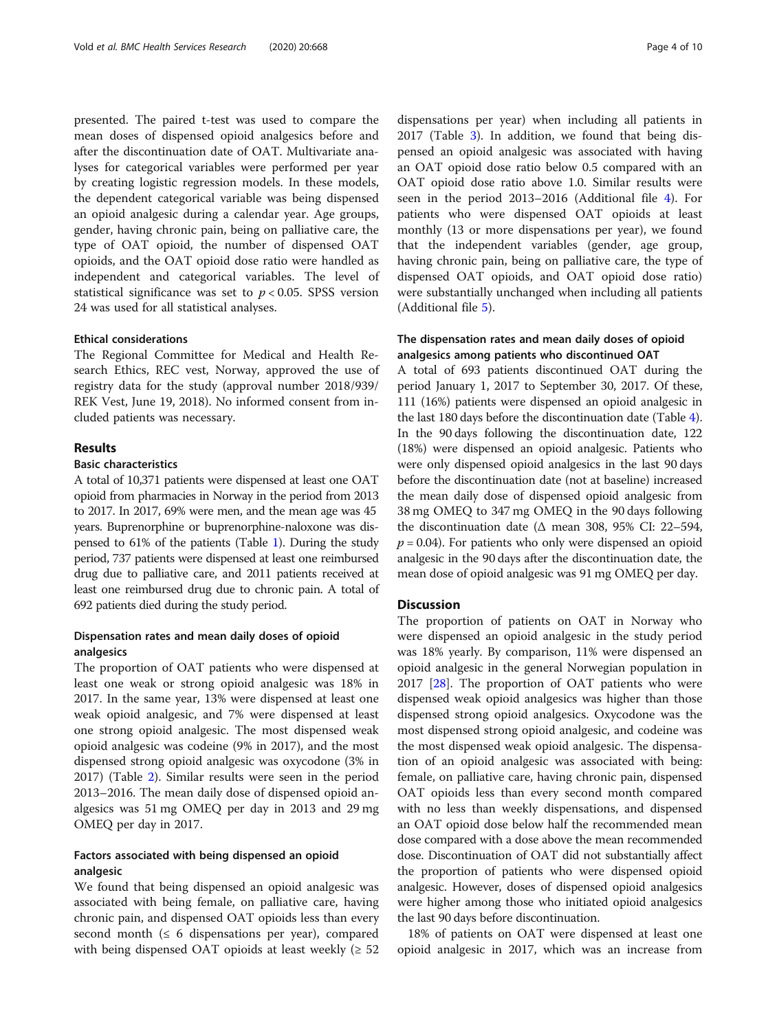presented. The paired t-test was used to compare the mean doses of dispensed opioid analgesics before and after the discontinuation date of OAT. Multivariate analyses for categorical variables were performed per year by creating logistic regression models. In these models, the dependent categorical variable was being dispensed an opioid analgesic during a calendar year. Age groups, gender, having chronic pain, being on palliative care, the type of OAT opioid, the number of dispensed OAT opioids, and the OAT opioid dose ratio were handled as independent and categorical variables. The level of statistical significance was set to  $p < 0.05$ . SPSS version 24 was used for all statistical analyses.

# Ethical considerations

The Regional Committee for Medical and Health Research Ethics, REC vest, Norway, approved the use of registry data for the study (approval number 2018/939/ REK Vest, June 19, 2018). No informed consent from included patients was necessary.

# Results

# Basic characteristics

A total of 10,371 patients were dispensed at least one OAT opioid from pharmacies in Norway in the period from 2013 to 2017. In 2017, 69% were men, and the mean age was 45 years. Buprenorphine or buprenorphine-naloxone was dispensed to 61% of the patients (Table [1\)](#page-4-0). During the study period, 737 patients were dispensed at least one reimbursed drug due to palliative care, and 2011 patients received at least one reimbursed drug due to chronic pain. A total of 692 patients died during the study period.

# Dispensation rates and mean daily doses of opioid analgesics

The proportion of OAT patients who were dispensed at least one weak or strong opioid analgesic was 18% in 2017. In the same year, 13% were dispensed at least one weak opioid analgesic, and 7% were dispensed at least one strong opioid analgesic. The most dispensed weak opioid analgesic was codeine (9% in 2017), and the most dispensed strong opioid analgesic was oxycodone (3% in 2017) (Table [2](#page-5-0)). Similar results were seen in the period 2013–2016. The mean daily dose of dispensed opioid analgesics was 51 mg OMEQ per day in 2013 and 29 mg OMEQ per day in 2017.

# Factors associated with being dispensed an opioid analgesic

We found that being dispensed an opioid analgesic was associated with being female, on palliative care, having chronic pain, and dispensed OAT opioids less than every second month ( $\leq 6$  dispensations per year), compared with being dispensed OAT opioids at least weekly  $(≥ 52)$ 

dispensations per year) when including all patients in 2017 (Table [3](#page-6-0)). In addition, we found that being dispensed an opioid analgesic was associated with having an OAT opioid dose ratio below 0.5 compared with an OAT opioid dose ratio above 1.0. Similar results were seen in the period 2013–2016 (Additional file [4](#page-8-0)). For patients who were dispensed OAT opioids at least monthly (13 or more dispensations per year), we found that the independent variables (gender, age group, having chronic pain, being on palliative care, the type of dispensed OAT opioids, and OAT opioid dose ratio) were substantially unchanged when including all patients (Additional file [5](#page-8-0)).

# The dispensation rates and mean daily doses of opioid analgesics among patients who discontinued OAT

A total of 693 patients discontinued OAT during the period January 1, 2017 to September 30, 2017. Of these, 111 (16%) patients were dispensed an opioid analgesic in the last 180 days before the discontinuation date (Table [4](#page-7-0)). In the 90 days following the discontinuation date, 122 (18%) were dispensed an opioid analgesic. Patients who were only dispensed opioid analgesics in the last 90 days before the discontinuation date (not at baseline) increased the mean daily dose of dispensed opioid analgesic from 38 mg OMEQ to 347 mg OMEQ in the 90 days following the discontinuation date ( $\Delta$  mean 308, 95% CI: 22–594,  $p = 0.04$ ). For patients who only were dispensed an opioid analgesic in the 90 days after the discontinuation date, the mean dose of opioid analgesic was 91 mg OMEQ per day.

# **Discussion**

The proportion of patients on OAT in Norway who were dispensed an opioid analgesic in the study period was 18% yearly. By comparison, 11% were dispensed an opioid analgesic in the general Norwegian population in 2017  $[28]$  $[28]$ . The proportion of OAT patients who were dispensed weak opioid analgesics was higher than those dispensed strong opioid analgesics. Oxycodone was the most dispensed strong opioid analgesic, and codeine was the most dispensed weak opioid analgesic. The dispensation of an opioid analgesic was associated with being: female, on palliative care, having chronic pain, dispensed OAT opioids less than every second month compared with no less than weekly dispensations, and dispensed an OAT opioid dose below half the recommended mean dose compared with a dose above the mean recommended dose. Discontinuation of OAT did not substantially affect the proportion of patients who were dispensed opioid analgesic. However, doses of dispensed opioid analgesics were higher among those who initiated opioid analgesics the last 90 days before discontinuation.

18% of patients on OAT were dispensed at least one opioid analgesic in 2017, which was an increase from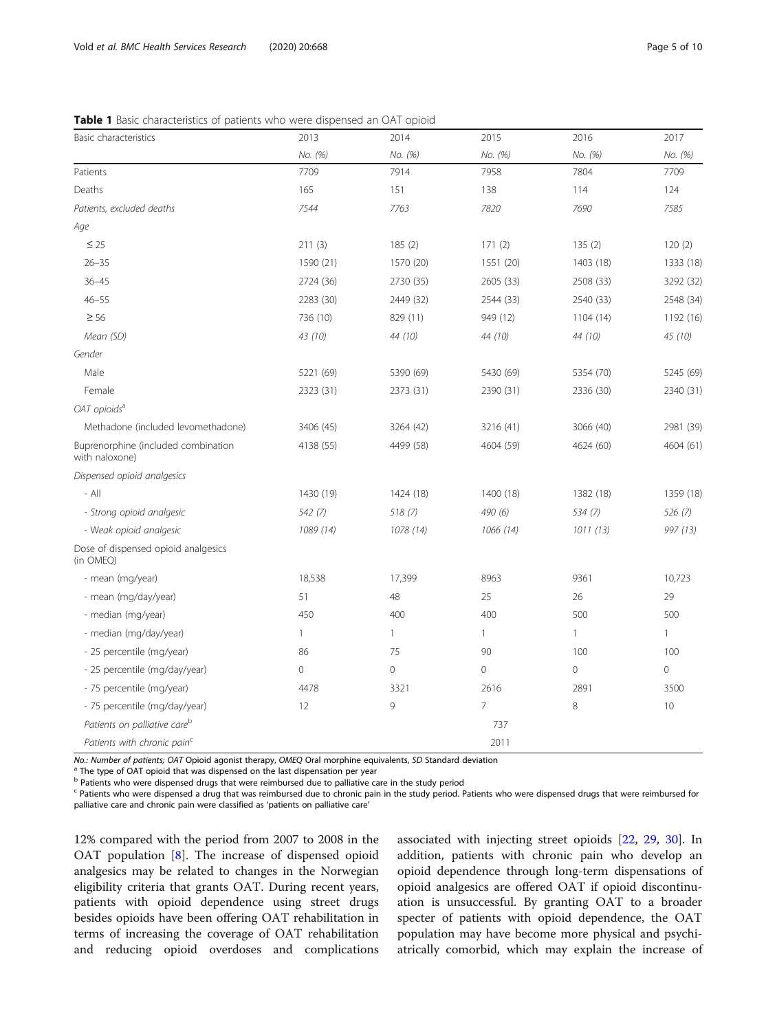<span id="page-4-0"></span>Table 1 Basic characteristics of patients who were dispensed an OAT opioid

| Basic characteristics                                 | 2013         | 2014         | 2015           | 2016           | 2017            |
|-------------------------------------------------------|--------------|--------------|----------------|----------------|-----------------|
|                                                       | No. (%)      | No. (%)      | No. (%)        | No. (%)        | No. (%)         |
| Patients                                              | 7709         | 7914         | 7958           | 7804           | 7709            |
| Deaths                                                | 165          | 151          | 138            | 114            | 124             |
| Patients, excluded deaths                             | 7544         | 7763         | 7820           | 7690           | 7585            |
| Age                                                   |              |              |                |                |                 |
| $\leq 25$                                             | 211(3)       | 185(2)       | 171(2)         | 135(2)         | 120(2)          |
| $26 - 35$                                             | 1590 (21)    | 1570 (20)    | 1551 (20)      | 1403 (18)      | 1333 (18)       |
| $36 - 45$                                             | 2724 (36)    | 2730 (35)    | 2605 (33)      | 2508 (33)      | 3292 (32)       |
| $46 - 55$                                             | 2283 (30)    | 2449 (32)    | 2544 (33)      | 2540 (33)      | 2548 (34)       |
| $\geq 56$                                             | 736 (10)     | 829 (11)     | 949 (12)       | 1104 (14)      | 1192 (16)       |
| Mean (SD)                                             | 43 (10)      | 44 (10)      | 44 (10)        | 44 (10)        | 45 (10)         |
| Gender                                                |              |              |                |                |                 |
| Male                                                  | 5221 (69)    | 5390 (69)    | 5430 (69)      | 5354 (70)      | 5245 (69)       |
| Female                                                | 2323 (31)    | 2373 (31)    | 2390 (31)      | 2336 (30)      | 2340 (31)       |
| OAT opioids <sup>a</sup>                              |              |              |                |                |                 |
| Methadone (included levomethadone)                    | 3406 (45)    | 3264 (42)    | 3216 (41)      | 3066 (40)      | 2981 (39)       |
| Buprenorphine (included combination<br>with naloxone) | 4138 (55)    | 4499 (58)    | 4604 (59)      | 4624 (60)      | 4604 (61)       |
| Dispensed opioid analgesics                           |              |              |                |                |                 |
| $-$ All                                               | 1430 (19)    | 1424 (18)    | 1400 (18)      | 1382 (18)      | 1359 (18)       |
| - Strong opioid analgesic                             | 542(7)       | 518(7)       | 490 (6)        | 534(7)         | 526(7)          |
| - Weak opioid analgesic                               | 1089 (14)    | 1078 (14)    | 1066 (14)      | 1011(13)       | 997 (13)        |
| Dose of dispensed opioid analgesics<br>(in OMEQ)      |              |              |                |                |                 |
| - mean (mg/year)                                      | 18,538       | 17,399       | 8963           | 9361           | 10,723          |
| - mean (mg/day/year)                                  | 51           | 48           | 25             | 26             | 29              |
| - median (mg/year)                                    | 450          | 400          | 400            | 500            | 500             |
| - median (mg/day/year)                                | $\mathbf{1}$ | $\mathbf{1}$ | $\mathbf{1}$   | $\mathbf{1}$   | $\mathbf{1}$    |
| - 25 percentile (mg/year)                             | 86           | 75           | 90             | 100            | 100             |
| - 25 percentile (mg/day/year)                         | $\mathbf 0$  | $\mathbf 0$  | $\overline{0}$ | $\overline{0}$ | $\mathbf 0$     |
| - 75 percentile (mg/year)                             | 4478         | 3321         | 2616           | 2891           | 3500            |
| - 75 percentile (mg/day/year)                         | 12           | 9            | $\overline{7}$ | 8              | 10 <sup>°</sup> |
| Patients on palliative care <sup>b</sup>              |              |              | 737            |                |                 |
| Patients with chronic pain <sup>c</sup>               |              |              | 2011           |                |                 |

No.: Number of patients; OAT Opioid agonist therapy, OMEQ Oral morphine equivalents, SD Standard deviation <sup>a</sup> The type of OAT opioid that was dispensed on the last dispensation per year

b Patients who were dispensed drugs that were reimbursed due to palliative care in the study period

<sup>c</sup> Patients who were dispensed a drug that was reimbursed due to chronic pain in the study period. Patients who were dispensed drugs that were reimbursed for palliative care and chronic pain were classified as 'patients on palliative care'

12% compared with the period from 2007 to 2008 in the OAT population [\[8](#page-9-0)]. The increase of dispensed opioid analgesics may be related to changes in the Norwegian eligibility criteria that grants OAT. During recent years, patients with opioid dependence using street drugs besides opioids have been offering OAT rehabilitation in terms of increasing the coverage of OAT rehabilitation and reducing opioid overdoses and complications associated with injecting street opioids [\[22,](#page-9-0) [29](#page-9-0), [30\]](#page-9-0). In addition, patients with chronic pain who develop an opioid dependence through long-term dispensations of opioid analgesics are offered OAT if opioid discontinuation is unsuccessful. By granting OAT to a broader specter of patients with opioid dependence, the OAT population may have become more physical and psychiatrically comorbid, which may explain the increase of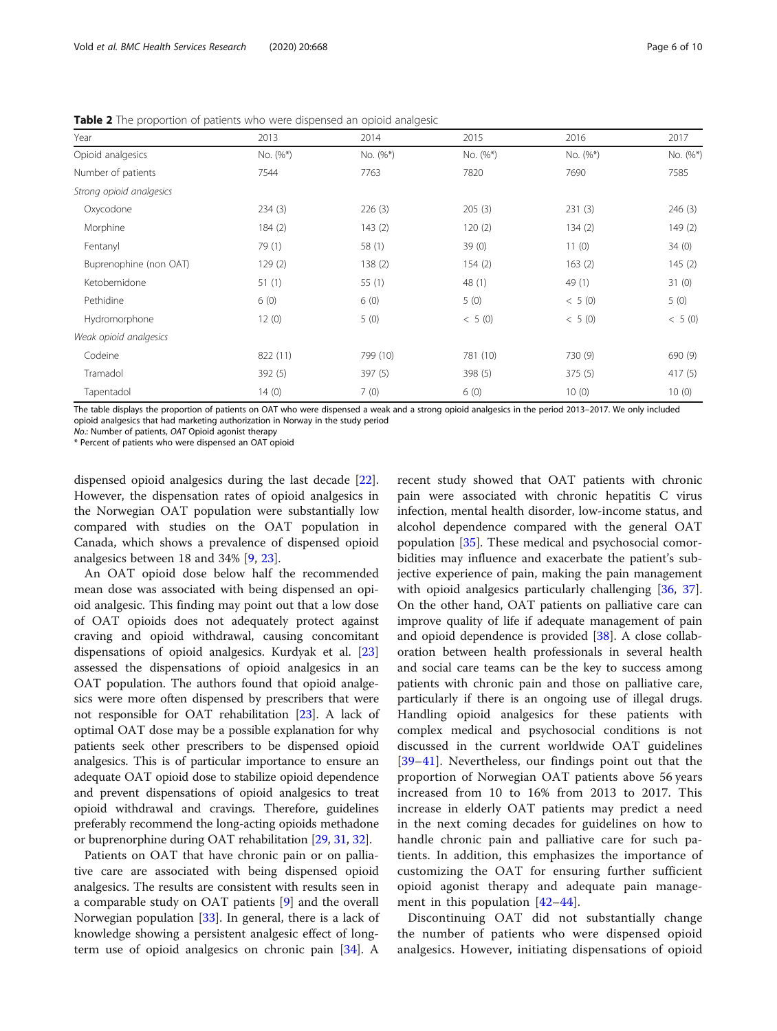| Year                     | 2013     | 2014     | 2015     | 2016     | 2017     |
|--------------------------|----------|----------|----------|----------|----------|
| Opioid analgesics        | No. (%*) | No. (%*) | No. (%*) | No. (%*) | No. (%*) |
| Number of patients       | 7544     | 7763     | 7820     | 7690     | 7585     |
| Strong opioid analgesics |          |          |          |          |          |
| Oxycodone                | 234(3)   | 226(3)   | 205(3)   | 231(3)   | 246(3)   |
| Morphine                 | 184(2)   | 143(2)   | 120(2)   | 134(2)   | 149(2)   |
| Fentanyl                 | 79 (1)   | 58(1)    | 39(0)    | 11(0)    | 34(0)    |
| Buprenophine (non OAT)   | 129(2)   | 138(2)   | 154(2)   | 163(2)   | 145(2)   |
| Ketobemidone             | 51(1)    | 55 $(1)$ | 48 (1)   | 49 (1)   | 31(0)    |
| Pethidine                | 6(0)     | 6(0)     | 5(0)     | < 5(0)   | 5(0)     |
| Hydromorphone            | 12(0)    | 5(0)     | < 5(0)   | < 5(0)   | < 5(0)   |
| Weak opioid analgesics   |          |          |          |          |          |
| Codeine                  | 822 (11) | 799 (10) | 781 (10) | 730 (9)  | 690 (9)  |
| Tramadol                 | 392(5)   | 397 (5)  | 398(5)   | 375(5)   | 417(5)   |
| Tapentadol               | 14(0)    | 7(0)     | 6(0)     | 10(0)    | 10(0)    |

<span id="page-5-0"></span>Table 2 The proportion of patients who were dispensed an opioid analgesic

The table displays the proportion of patients on OAT who were dispensed a weak and a strong opioid analgesics in the period 2013–2017. We only included opioid analgesics that had marketing authorization in Norway in the study period

No.: Number of patients, OAT Opioid agonist therapy

\* Percent of patients who were dispensed an OAT opioid

dispensed opioid analgesics during the last decade [\[22](#page-9-0)]. However, the dispensation rates of opioid analgesics in the Norwegian OAT population were substantially low compared with studies on the OAT population in Canada, which shows a prevalence of dispensed opioid analgesics between 18 and 34% [\[9](#page-9-0), [23](#page-9-0)].

An OAT opioid dose below half the recommended mean dose was associated with being dispensed an opioid analgesic. This finding may point out that a low dose of OAT opioids does not adequately protect against craving and opioid withdrawal, causing concomitant dispensations of opioid analgesics. Kurdyak et al. [[23](#page-9-0)] assessed the dispensations of opioid analgesics in an OAT population. The authors found that opioid analgesics were more often dispensed by prescribers that were not responsible for OAT rehabilitation [[23](#page-9-0)]. A lack of optimal OAT dose may be a possible explanation for why patients seek other prescribers to be dispensed opioid analgesics. This is of particular importance to ensure an adequate OAT opioid dose to stabilize opioid dependence and prevent dispensations of opioid analgesics to treat opioid withdrawal and cravings. Therefore, guidelines preferably recommend the long-acting opioids methadone or buprenorphine during OAT rehabilitation [[29](#page-9-0), [31,](#page-9-0) [32](#page-9-0)].

Patients on OAT that have chronic pain or on palliative care are associated with being dispensed opioid analgesics. The results are consistent with results seen in a comparable study on OAT patients [\[9](#page-9-0)] and the overall Norwegian population [\[33](#page-9-0)]. In general, there is a lack of knowledge showing a persistent analgesic effect of longterm use of opioid analgesics on chronic pain [[34\]](#page-9-0). A

recent study showed that OAT patients with chronic pain were associated with chronic hepatitis C virus infection, mental health disorder, low-income status, and alcohol dependence compared with the general OAT population [\[35\]](#page-9-0). These medical and psychosocial comorbidities may influence and exacerbate the patient's subjective experience of pain, making the pain management with opioid analgesics particularly challenging [[36,](#page-9-0) [37](#page-9-0)]. On the other hand, OAT patients on palliative care can improve quality of life if adequate management of pain and opioid dependence is provided [[38](#page-9-0)]. A close collaboration between health professionals in several health and social care teams can be the key to success among patients with chronic pain and those on palliative care, particularly if there is an ongoing use of illegal drugs. Handling opioid analgesics for these patients with complex medical and psychosocial conditions is not discussed in the current worldwide OAT guidelines [[39](#page-9-0)–[41\]](#page-9-0). Nevertheless, our findings point out that the proportion of Norwegian OAT patients above 56 years increased from 10 to 16% from 2013 to 2017. This increase in elderly OAT patients may predict a need in the next coming decades for guidelines on how to handle chronic pain and palliative care for such patients. In addition, this emphasizes the importance of customizing the OAT for ensuring further sufficient opioid agonist therapy and adequate pain management in this population [[42](#page-9-0)–[44\]](#page-9-0).

Discontinuing OAT did not substantially change the number of patients who were dispensed opioid analgesics. However, initiating dispensations of opioid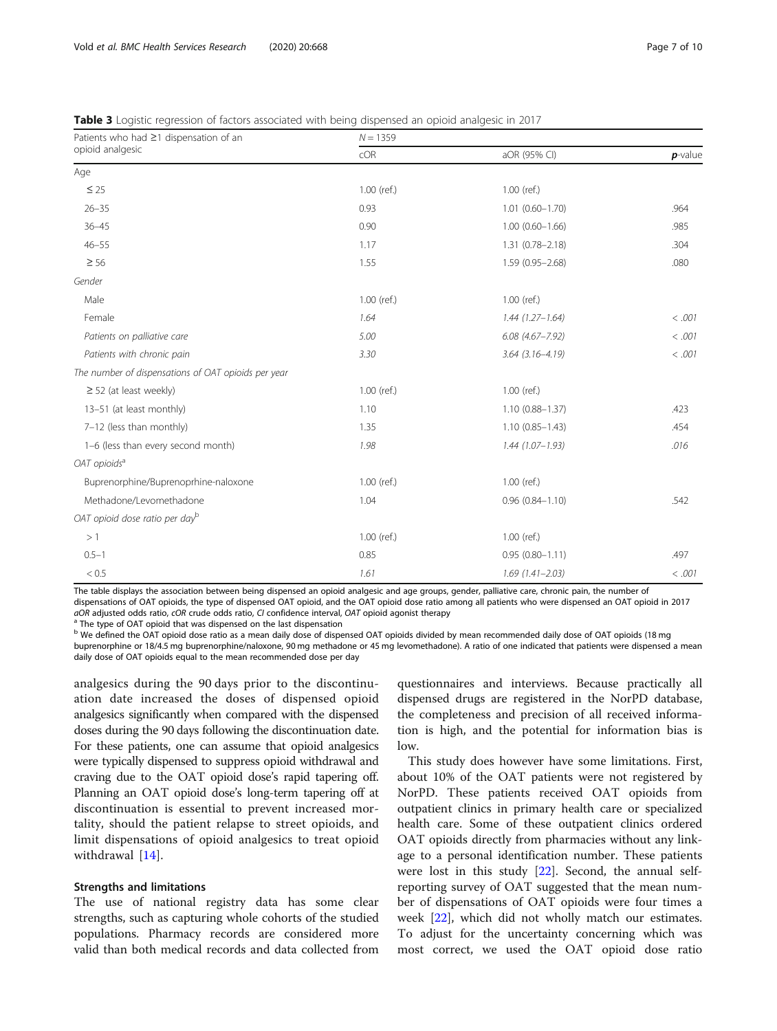<span id="page-6-0"></span>

|  |  | <b>Table 3</b> Logistic regression of factors associated with being dispensed an opioid analgesic in 2017 |
|--|--|-----------------------------------------------------------------------------------------------------------|
|  |  |                                                                                                           |

| Patients who had ≥1 dispensation of an              | $N = 1359$    |                        |            |  |  |
|-----------------------------------------------------|---------------|------------------------|------------|--|--|
| opioid analgesic                                    | cOR           | aOR (95% CI)           | $p$ -value |  |  |
| Age                                                 |               |                        |            |  |  |
| $\leq 25$                                           | $1.00$ (ref.) | $1.00$ (ref.)          |            |  |  |
| $26 - 35$                                           | 0.93          | $1.01$ $(0.60 - 1.70)$ | .964       |  |  |
| $36 - 45$                                           | 0.90          | $1.00(0.60 - 1.66)$    | .985       |  |  |
| $46 - 55$                                           | 1.17          | $1.31(0.78 - 2.18)$    | .304       |  |  |
| $\geq 56$                                           | 1.55          | $1.59(0.95 - 2.68)$    | .080       |  |  |
| Gender                                              |               |                        |            |  |  |
| Male                                                | 1.00 (ref.)   | $1.00$ (ref.)          |            |  |  |
| Female                                              | 1.64          | $1.44(1.27 - 1.64)$    | < .001     |  |  |
| Patients on palliative care                         | 5.00          | $6.08(4.67 - 7.92)$    | < .001     |  |  |
| Patients with chronic pain                          | 3.30          | $3.64$ $(3.16 - 4.19)$ | < .001     |  |  |
| The number of dispensations of OAT opioids per year |               |                        |            |  |  |
| $\geq$ 52 (at least weekly)                         | 1.00 (ref.)   | $1.00$ (ref.)          |            |  |  |
| 13-51 (at least monthly)                            | 1.10          | $1.10(0.88 - 1.37)$    | .423       |  |  |
| 7-12 (less than monthly)                            | 1.35          | $1.10(0.85 - 1.43)$    | .454       |  |  |
| 1-6 (less than every second month)                  | 1.98          | $1.44(1.07 - 1.93)$    | .016       |  |  |
| OAT opioids <sup>a</sup>                            |               |                        |            |  |  |
| Buprenorphine/Buprenoprhine-naloxone                | 1.00 (ref.)   | $1.00$ (ref.)          |            |  |  |
| Methadone/Levomethadone                             | 1.04          | $0.96(0.84 - 1.10)$    | .542       |  |  |
| OAT opioid dose ratio per dayb                      |               |                        |            |  |  |
| >1                                                  | $1.00$ (ref.) | $1.00$ (ref.)          |            |  |  |
| $0.5 - 1$                                           | 0.85          | $0.95(0.80 - 1.11)$    | .497       |  |  |
| < 0.5                                               | 1.61          | $1.69(1.41 - 2.03)$    | < .001     |  |  |

The table displays the association between being dispensed an opioid analgesic and age groups, gender, palliative care, chronic pain, the number of dispensations of OAT opioids, the type of dispensed OAT opioid, and the OAT opioid dose ratio among all patients who were dispensed an OAT opioid in 2017  $a$ OR adjusted odds ratio,  $c$ OR crude odds ratio, CI confidence interval, OAT opioid agonist therapy a The type of OAT opioid that was dispensed on the last dispensation

b We defined the OAT opioid dose ratio as a mean daily dose of dispensed OAT opioids divided by mean recommended daily dose of OAT opioids (18 mg buprenorphine or 18/4.5 mg buprenorphine/naloxone, 90 mg methadone or 45 mg levomethadone). A ratio of one indicated that patients were dispensed a mean daily dose of OAT opioids equal to the mean recommended dose per day

analgesics during the 90 days prior to the discontinuation date increased the doses of dispensed opioid analgesics significantly when compared with the dispensed doses during the 90 days following the discontinuation date. For these patients, one can assume that opioid analgesics were typically dispensed to suppress opioid withdrawal and craving due to the OAT opioid dose's rapid tapering off. Planning an OAT opioid dose's long-term tapering off at discontinuation is essential to prevent increased mortality, should the patient relapse to street opioids, and limit dispensations of opioid analgesics to treat opioid withdrawal [[14\]](#page-9-0).

# Strengths and limitations

The use of national registry data has some clear strengths, such as capturing whole cohorts of the studied populations. Pharmacy records are considered more valid than both medical records and data collected from

questionnaires and interviews. Because practically all dispensed drugs are registered in the NorPD database, the completeness and precision of all received information is high, and the potential for information bias is low.

This study does however have some limitations. First, about 10% of the OAT patients were not registered by NorPD. These patients received OAT opioids from outpatient clinics in primary health care or specialized health care. Some of these outpatient clinics ordered OAT opioids directly from pharmacies without any linkage to a personal identification number. These patients were lost in this study [[22\]](#page-9-0). Second, the annual selfreporting survey of OAT suggested that the mean number of dispensations of OAT opioids were four times a week [\[22\]](#page-9-0), which did not wholly match our estimates. To adjust for the uncertainty concerning which was most correct, we used the OAT opioid dose ratio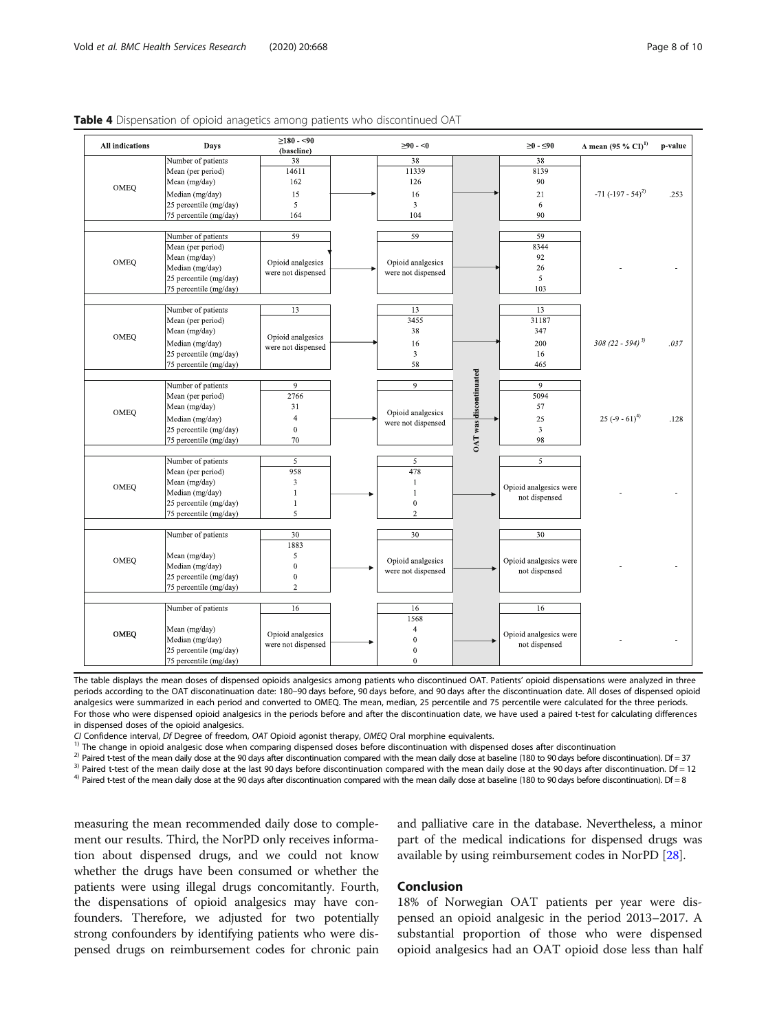| All indications   | Days                   | $\geq$ 180 - <90   | $\geq 90 - 0$      |                               | $≥0 - ≤90$              | $\Delta$ mean (95 % CI) <sup>1)</sup> | p-value |
|-------------------|------------------------|--------------------|--------------------|-------------------------------|-------------------------|---------------------------------------|---------|
|                   | Number of patients     | (baseline)<br>38   | 38                 |                               | 38                      |                                       |         |
| Mean (per period) | 14611                  | 11339              |                    | 8139                          |                         |                                       |         |
|                   | Mean (mg/day)          | 162                | 126                |                               | 90                      |                                       |         |
| OMEQ              |                        |                    |                    |                               |                         |                                       |         |
|                   | Median (mg/day)        | 15                 | 16                 |                               | 21                      | $-71 (-197 - 54)^{2}$                 | .253    |
|                   | 25 percentile (mg/day) | 5                  | $\mathfrak{Z}$     |                               | 6                       |                                       |         |
|                   | 75 percentile (mg/day) | 164                | 104                |                               | 90                      |                                       |         |
|                   | Number of patients     | 59                 | 59                 |                               | 59                      |                                       |         |
|                   | Mean (per period)      |                    |                    |                               | 8344                    |                                       |         |
|                   | Mean (mg/day)          |                    |                    |                               | 92                      |                                       |         |
| OMEQ              | Median (mg/day)        | Opioid analgesics  | Opioid analgesics  |                               | 26                      |                                       |         |
|                   | 25 percentile (mg/day) | were not dispensed | were not dispensed |                               | 5                       |                                       |         |
|                   | 75 percentile (mg/day) |                    |                    |                               | 103                     |                                       |         |
|                   |                        |                    |                    |                               |                         |                                       |         |
|                   | Number of patients     | 13                 | 13                 |                               | 13                      |                                       |         |
|                   | Mean (per period)      |                    | 3455               |                               | 31187                   |                                       |         |
|                   | Mean (mg/day)          |                    | 38                 |                               | 347                     |                                       |         |
| OMEQ              | Median (mg/day)        | Opioid analgesics  | 16                 |                               | 200                     | $308(22 - 594)^{3}$                   | .037    |
|                   | 25 percentile (mg/day) | were not dispensed | 3                  |                               | 16                      |                                       |         |
|                   | 75 percentile (mg/day) |                    | 58                 |                               | 465                     |                                       |         |
|                   |                        |                    |                    |                               |                         |                                       |         |
|                   | Number of patients     | 9                  | $\overline{9}$     | <b>OAT</b> was discontinuated | $\boldsymbol{9}$        |                                       |         |
|                   | Mean (per period)      | 2766               |                    |                               | 5094                    |                                       |         |
|                   | Mean (mg/day)          | 31                 |                    |                               | 57                      |                                       |         |
| OMEQ              | Median (mg/day)        | $\overline{4}$     | Opioid analgesics  |                               | 25                      | 25 (-9 - 61) <sup>4)</sup>            | .128    |
|                   | 25 percentile (mg/day) | $\boldsymbol{0}$   | were not dispensed |                               | $\overline{\mathbf{3}}$ |                                       |         |
|                   | 75 percentile (mg/day) | 70                 |                    |                               | 98                      |                                       |         |
|                   |                        |                    |                    |                               |                         |                                       |         |
|                   | Number of patients     | 5                  | 5                  |                               | 5                       |                                       |         |
|                   | Mean (per period)      | 958                | 478                |                               |                         |                                       |         |
|                   | Mean (mg/day)          | $\mathbf{3}$       | $\mathbf{1}$       |                               |                         |                                       |         |
| OMEQ              | Median (mg/day)        | $\mathbf{1}$       | $\mathbf{1}$       |                               | Opioid analgesics were  |                                       |         |
|                   | 25 percentile (mg/day) | $\mathbf{1}$       | $\mathbf{0}$       |                               | not dispensed           |                                       |         |
|                   | 75 percentile (mg/day) | 5                  | $\sqrt{2}$         |                               |                         |                                       |         |
|                   |                        |                    |                    |                               |                         |                                       |         |
|                   | Number of patients     | 30                 | 30                 |                               | 30                      |                                       |         |
|                   |                        | 1883               |                    |                               |                         |                                       |         |
| OMEQ              | Mean (mg/day)          | 5                  | Opioid analgesics  |                               | Opioid analgesics were  |                                       |         |
|                   | Median (mg/day)        | $\overline{0}$     | were not dispensed |                               | not dispensed           |                                       |         |
|                   | 25 percentile (mg/day) | $\overline{0}$     |                    |                               |                         |                                       |         |
|                   | 75 percentile (mg/day) | $\mathbf 2$        |                    |                               |                         |                                       |         |
|                   |                        |                    |                    |                               |                         |                                       |         |
|                   | Number of patients     | 16                 | 16<br>1568         |                               | 16                      |                                       |         |
|                   | Mean (mg/day)          |                    | 4                  |                               |                         |                                       |         |
| OMEQ              | Median (mg/day)        | Opioid analgesics  | $\boldsymbol{0}$   |                               | Opioid analgesics were  |                                       |         |
|                   | 25 percentile (mg/day) | were not dispensed | $\boldsymbol{0}$   |                               | not dispensed           |                                       |         |
|                   | 75 percentile (mg/day) |                    | $\mathbf{0}$       |                               |                         |                                       |         |
|                   |                        |                    |                    |                               |                         |                                       |         |

#### <span id="page-7-0"></span>Table 4 Dispensation of opioid anagetics among patients who discontinued OAT

The table displays the mean doses of dispensed opioids analgesics among patients who discontinued OAT. Patients' opioid dispensations were analyzed in three periods according to the OAT disconatinuation date: 180–90 days before, 90 days before, and 90 days after the discontinuation date. All doses of dispensed opioid analgesics were summarized in each period and converted to OMEQ. The mean, median, 25 percentile and 75 percentile were calculated for the three periods. For those who were dispensed opioid analgesics in the periods before and after the discontinuation date, we have used a paired t-test for calculating differences in dispensed doses of the opioid analgesics.<br>CI Confidence interval, Df Degree of freedom, OAT Opioid agonist therapy, OMEQ Oral morphine eguivalents.

<sup>1)</sup> The change in opioid analgesic dose when comparing dispensed doses before discontinuation with dispensed doses after discontinuation  $^{2}$ ) Paired t-test of the mean daily dose at the 90 days after discontinuation co

measuring the mean recommended daily dose to complement our results. Third, the NorPD only receives information about dispensed drugs, and we could not know whether the drugs have been consumed or whether the patients were using illegal drugs concomitantly. Fourth, the dispensations of opioid analgesics may have confounders. Therefore, we adjusted for two potentially strong confounders by identifying patients who were dispensed drugs on reimbursement codes for chronic pain

and palliative care in the database. Nevertheless, a minor part of the medical indications for dispensed drugs was available by using reimbursement codes in NorPD [[28\]](#page-9-0).

# Conclusion

18% of Norwegian OAT patients per year were dispensed an opioid analgesic in the period 2013–2017. A substantial proportion of those who were dispensed opioid analgesics had an OAT opioid dose less than half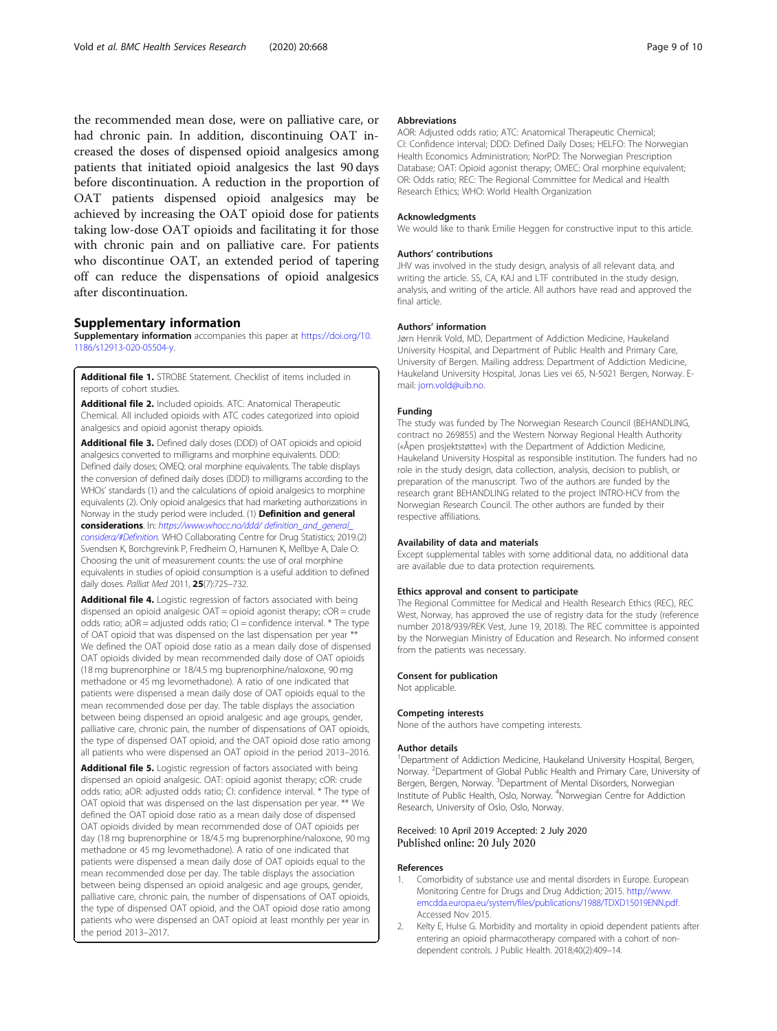<span id="page-8-0"></span>the recommended mean dose, were on palliative care, or had chronic pain. In addition, discontinuing OAT increased the doses of dispensed opioid analgesics among patients that initiated opioid analgesics the last 90 days before discontinuation. A reduction in the proportion of OAT patients dispensed opioid analgesics may be achieved by increasing the OAT opioid dose for patients taking low-dose OAT opioids and facilitating it for those with chronic pain and on palliative care. For patients who discontinue OAT, an extended period of tapering off can reduce the dispensations of opioid analgesics after discontinuation.

# Supplementary information

Supplementary information accompanies this paper at [https://doi.org/10.](https://doi.org/10.1186/s12913-020-05504-y) [1186/s12913-020-05504-y](https://doi.org/10.1186/s12913-020-05504-y).

Additional file 1. STROBE Statement. Checklist of items included in reports of cohort studies.

Additional file 2. Included opioids. ATC: Anatomical Therapeutic Chemical. All included opioids with ATC codes categorized into opioid analgesics and opioid agonist therapy opioids.

Additional file 3. Defined daily doses (DDD) of OAT opioids and opioid analgesics converted to milligrams and morphine equivalents. DDD: Defined daily doses; OMEQ: oral morphine equivalents. The table displays the conversion of defined daily doses (DDD) to milligrams according to the WHOs' standards (1) and the calculations of opioid analgesics to morphine equivalents (2). Only opioid analgesics that had marketing authorizations in Norway in the study period were included. (1) Definition and general considerations. In: [https://www.whocc.no/ddd/ definition\\_and\\_general\\_](https://doi.org/10.1186/s12913-020-05504-y) [considera/#Definition](https://doi.org/10.1186/s12913-020-05504-y). WHO Collaborating Centre for Drug Statistics; 2019.(2) Svendsen K, Borchgrevink P, Fredheim O, Hamunen K, Mellbye A, Dale O: Choosing the unit of measurement counts: the use of oral morphine equivalents in studies of opioid consumption is a useful addition to defined daily doses. Palliat Med 2011, 25(7):725-732.

Additional file 4. Logistic regression of factors associated with being dispensed an opioid analgesic OAT = opioid agonist therapy; cOR = crude odds ratio;  $aOR =$  adjusted odds ratio;  $CI =$  confidence interval.  $*$  The type of OAT opioid that was dispensed on the last dispensation per year \*\* We defined the OAT opioid dose ratio as a mean daily dose of dispensed OAT opioids divided by mean recommended daily dose of OAT opioids (18 mg buprenorphine or 18/4.5 mg buprenorphine/naloxone, 90 mg methadone or 45 mg levomethadone). A ratio of one indicated that patients were dispensed a mean daily dose of OAT opioids equal to the mean recommended dose per day. The table displays the association between being dispensed an opioid analgesic and age groups, gender, palliative care, chronic pain, the number of dispensations of OAT opioids, the type of dispensed OAT opioid, and the OAT opioid dose ratio among all patients who were dispensed an OAT opioid in the period 2013–2016.

Additional file 5. Logistic regression of factors associated with being dispensed an opioid analgesic. OAT: opioid agonist therapy; cOR: crude odds ratio; aOR: adjusted odds ratio; CI: confidence interval. \* The type of OAT opioid that was dispensed on the last dispensation per year. \*\* We defined the OAT opioid dose ratio as a mean daily dose of dispensed OAT opioids divided by mean recommended dose of OAT opioids per day (18 mg buprenorphine or 18/4.5 mg buprenorphine/naloxone, 90 mg methadone or 45 mg levomethadone). A ratio of one indicated that patients were dispensed a mean daily dose of OAT opioids equal to the mean recommended dose per day. The table displays the association between being dispensed an opioid analgesic and age groups, gender, palliative care, chronic pain, the number of dispensations of OAT opioids, the type of dispensed OAT opioid, and the OAT opioid dose ratio among patients who were dispensed an OAT opioid at least monthly per year in the period 2013–2017.

#### Abbreviations

AOR: Adjusted odds ratio; ATC: Anatomical Therapeutic Chemical; CI: Confidence interval; DDD: Defined Daily Doses; HELFO: The Norwegian Health Economics Administration; NorPD: The Norwegian Prescription Database; OAT: Opioid agonist therapy; OMEC: Oral morphine equivalent; OR: Odds ratio; REC: The Regional Committee for Medical and Health Research Ethics; WHO: World Health Organization

#### **Acknowledaments**

We would like to thank Emilie Heggen for constructive input to this article.

### Authors' contributions

JHV was involved in the study design, analysis of all relevant data, and writing the article. SS, CA, KAJ and LTF contributed in the study design, analysis, and writing of the article. All authors have read and approved the final article.

## Authors' information

Jørn Henrik Vold, MD, Department of Addiction Medicine, Haukeland University Hospital, and Department of Public Health and Primary Care, University of Bergen. Mailing address: Department of Addiction Medicine, Haukeland University Hospital, Jonas Lies vei 65, N-5021 Bergen, Norway. Email: [jorn.vold@uib.no.](mailto:jorn.vold@uib.no)

#### Funding

The study was funded by The Norwegian Research Council (BEHANDLING, contract no 269855) and the Western Norway Regional Health Authority («Åpen prosjektstøtte») with the Department of Addiction Medicine, Haukeland University Hospital as responsible institution. The funders had no role in the study design, data collection, analysis, decision to publish, or preparation of the manuscript. Two of the authors are funded by the research grant BEHANDLING related to the project INTRO-HCV from the Norwegian Research Council. The other authors are funded by their respective affiliations.

#### Availability of data and materials

Except supplemental tables with some additional data, no additional data are available due to data protection requirements.

#### Ethics approval and consent to participate

The Regional Committee for Medical and Health Research Ethics (REC), REC West, Norway, has approved the use of registry data for the study (reference number 2018/939/REK Vest, June 19, 2018). The REC committee is appointed by the Norwegian Ministry of Education and Research. No informed consent from the patients was necessary.

#### Consent for publication

Not applicable.

#### Competing interests

None of the authors have competing interests.

#### Author details

<sup>1</sup>Department of Addiction Medicine, Haukeland University Hospital, Bergen, Norway. <sup>2</sup>Department of Global Public Health and Primary Care, University of Bergen, Bergen, Norway. <sup>3</sup>Department of Mental Disorders, Norwegian Institute of Public Health, Oslo, Norway. <sup>4</sup> Norwegian Centre for Addiction Research, University of Oslo, Oslo, Norway.

# Received: 10 April 2019 Accepted: 2 July 2020 Published online: 20 July 2020

#### References

- 1. Comorbidity of substance use and mental disorders in Europe. European Monitoring Centre for Drugs and Drug Addiction; 2015. [http://www.](http://www.emcdda.europa.eu/system/files/publications/1988/TDXD15019ENN.pdf) [emcdda.europa.eu/system/files/publications/1988/TDXD15019ENN.pdf.](http://www.emcdda.europa.eu/system/files/publications/1988/TDXD15019ENN.pdf) Accessed Nov 2015.
- 2. Kelty E, Hulse G. Morbidity and mortality in opioid dependent patients after entering an opioid pharmacotherapy compared with a cohort of nondependent controls. J Public Health. 2018;40(2):409–14.